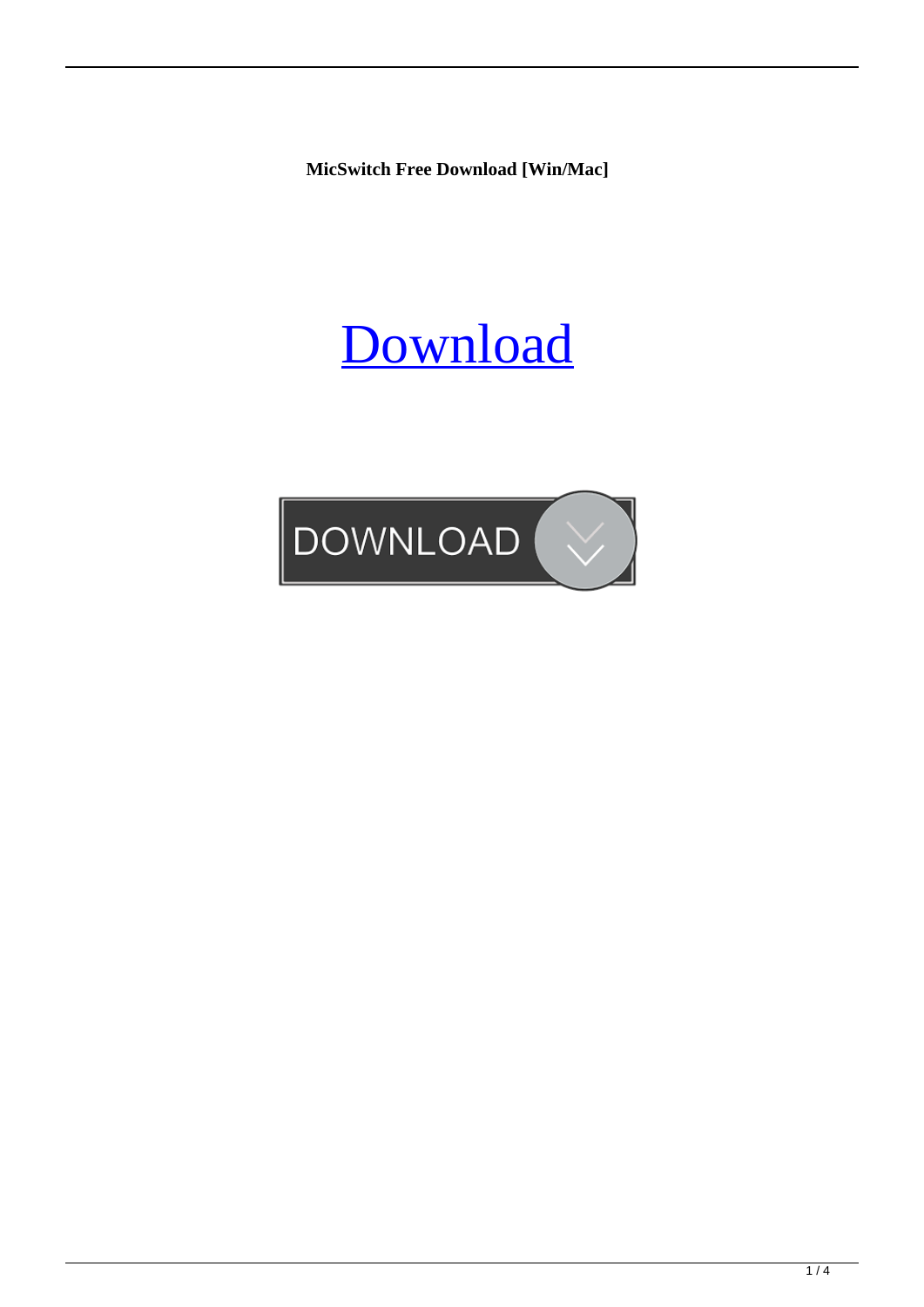**MicSwitch Free Download [Win/Mac]**



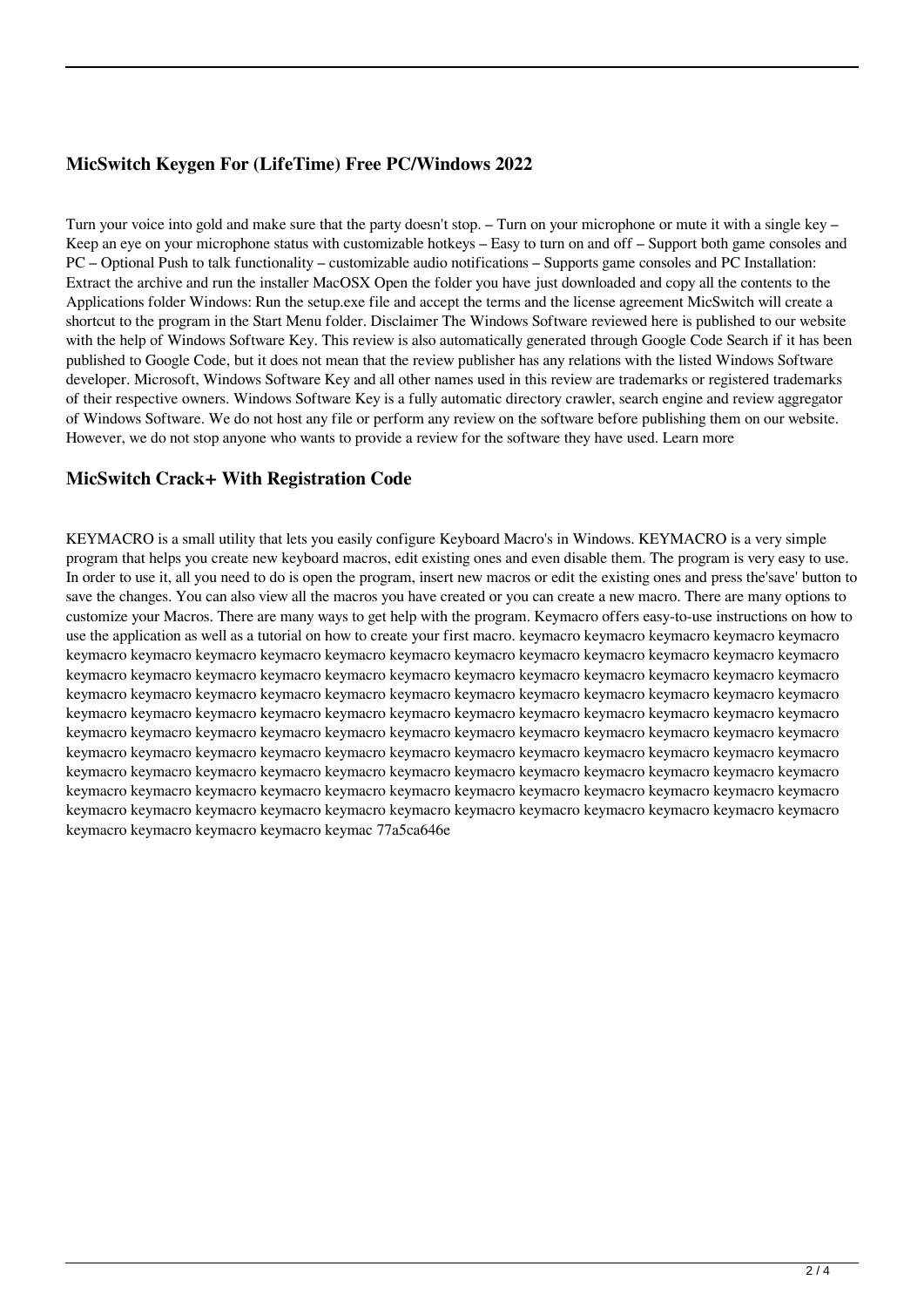## **MicSwitch Keygen For (LifeTime) Free PC/Windows 2022**

Turn your voice into gold and make sure that the party doesn't stop. – Turn on your microphone or mute it with a single key – Keep an eye on your microphone status with customizable hotkeys – Easy to turn on and off – Support both game consoles and PC – Optional Push to talk functionality – customizable audio notifications – Supports game consoles and PC Installation: Extract the archive and run the installer MacOSX Open the folder you have just downloaded and copy all the contents to the Applications folder Windows: Run the setup.exe file and accept the terms and the license agreement MicSwitch will create a shortcut to the program in the Start Menu folder. Disclaimer The Windows Software reviewed here is published to our website with the help of Windows Software Key. This review is also automatically generated through Google Code Search if it has been published to Google Code, but it does not mean that the review publisher has any relations with the listed Windows Software developer. Microsoft, Windows Software Key and all other names used in this review are trademarks or registered trademarks of their respective owners. Windows Software Key is a fully automatic directory crawler, search engine and review aggregator of Windows Software. We do not host any file or perform any review on the software before publishing them on our website. However, we do not stop anyone who wants to provide a review for the software they have used. Learn more

### **MicSwitch Crack+ With Registration Code**

KEYMACRO is a small utility that lets you easily configure Keyboard Macro's in Windows. KEYMACRO is a very simple program that helps you create new keyboard macros, edit existing ones and even disable them. The program is very easy to use. In order to use it, all you need to do is open the program, insert new macros or edit the existing ones and press the'save' button to save the changes. You can also view all the macros you have created or you can create a new macro. There are many options to customize your Macros. There are many ways to get help with the program. Keymacro offers easy-to-use instructions on how to use the application as well as a tutorial on how to create your first macro. keymacro keymacro keymacro keymacro keymacro keymacro keymacro keymacro keymacro keymacro keymacro keymacro keymacro keymacro keymacro keymacro keymacro keymacro keymacro keymacro keymacro keymacro keymacro keymacro keymacro keymacro keymacro keymacro keymacro keymacro keymacro keymacro keymacro keymacro keymacro keymacro keymacro keymacro keymacro keymacro keymacro keymacro keymacro keymacro keymacro keymacro keymacro keymacro keymacro keymacro keymacro keymacro keymacro keymacro keymacro keymacro keymacro keymacro keymacro keymacro keymacro keymacro keymacro keymacro keymacro keymacro keymacro keymacro keymacro keymacro keymacro keymacro keymacro keymacro keymacro keymacro keymacro keymacro keymacro keymacro keymacro keymacro keymacro keymacro keymacro keymacro keymacro keymacro keymacro keymacro keymacro keymacro keymacro keymacro keymacro keymacro keymacro keymacro keymacro keymacro keymacro keymacro keymacro keymacro keymacro keymacro keymacro keymacro keymacro keymacro keymacro keymacro keymacro keymacro keymacro keymacro keymacro keymac 77a5ca646e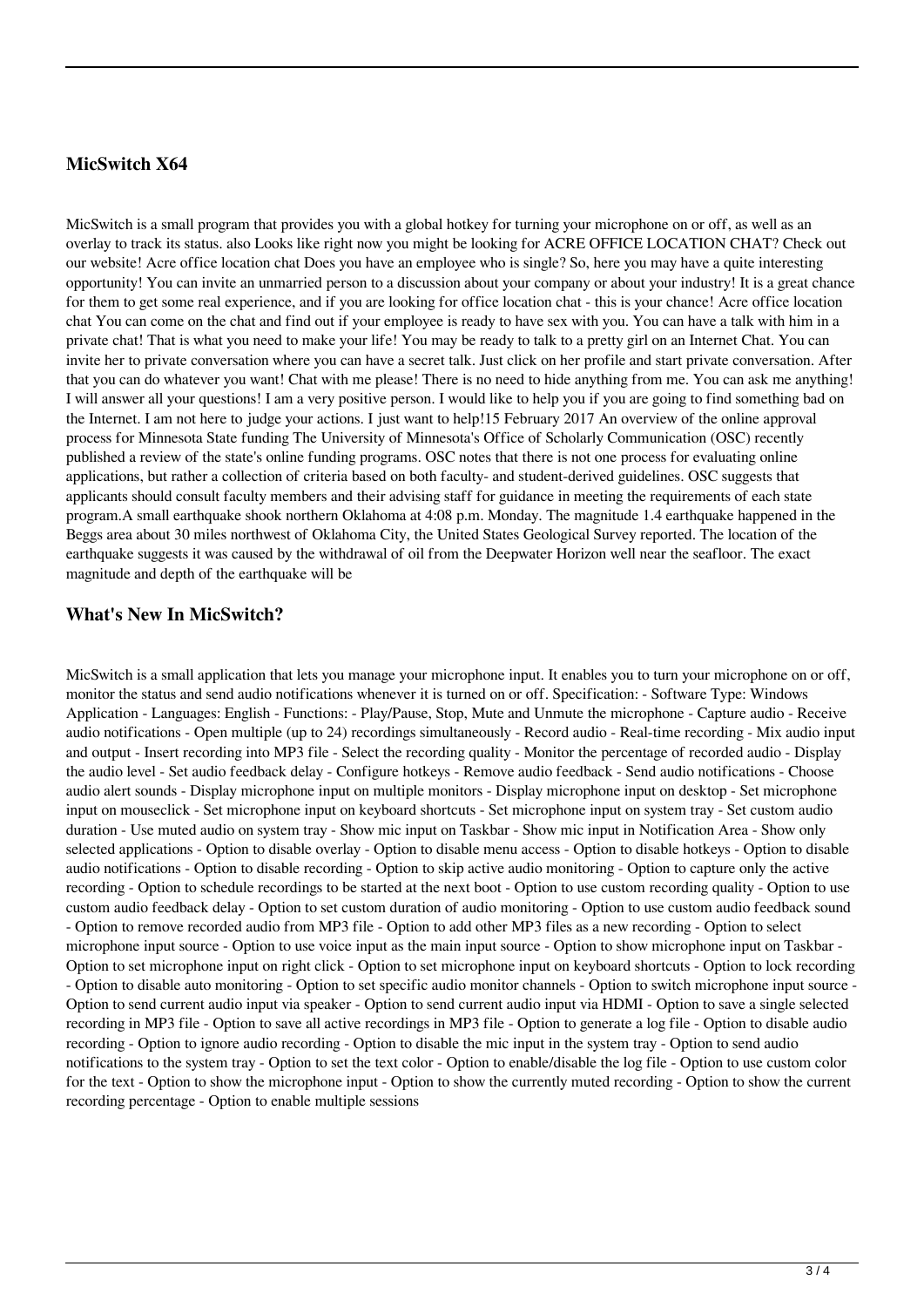### **MicSwitch X64**

MicSwitch is a small program that provides you with a global hotkey for turning your microphone on or off, as well as an overlay to track its status. also Looks like right now you might be looking for ACRE OFFICE LOCATION CHAT? Check out our website! Acre office location chat Does you have an employee who is single? So, here you may have a quite interesting opportunity! You can invite an unmarried person to a discussion about your company or about your industry! It is a great chance for them to get some real experience, and if you are looking for office location chat - this is your chance! Acre office location chat You can come on the chat and find out if your employee is ready to have sex with you. You can have a talk with him in a private chat! That is what you need to make your life! You may be ready to talk to a pretty girl on an Internet Chat. You can invite her to private conversation where you can have a secret talk. Just click on her profile and start private conversation. After that you can do whatever you want! Chat with me please! There is no need to hide anything from me. You can ask me anything! I will answer all your questions! I am a very positive person. I would like to help you if you are going to find something bad on the Internet. I am not here to judge your actions. I just want to help!15 February 2017 An overview of the online approval process for Minnesota State funding The University of Minnesota's Office of Scholarly Communication (OSC) recently published a review of the state's online funding programs. OSC notes that there is not one process for evaluating online applications, but rather a collection of criteria based on both faculty- and student-derived guidelines. OSC suggests that applicants should consult faculty members and their advising staff for guidance in meeting the requirements of each state program.A small earthquake shook northern Oklahoma at 4:08 p.m. Monday. The magnitude 1.4 earthquake happened in the Beggs area about 30 miles northwest of Oklahoma City, the United States Geological Survey reported. The location of the earthquake suggests it was caused by the withdrawal of oil from the Deepwater Horizon well near the seafloor. The exact magnitude and depth of the earthquake will be

### **What's New In MicSwitch?**

MicSwitch is a small application that lets you manage your microphone input. It enables you to turn your microphone on or off, monitor the status and send audio notifications whenever it is turned on or off. Specification: - Software Type: Windows Application - Languages: English - Functions: - Play/Pause, Stop, Mute and Unmute the microphone - Capture audio - Receive audio notifications - Open multiple (up to 24) recordings simultaneously - Record audio - Real-time recording - Mix audio input and output - Insert recording into MP3 file - Select the recording quality - Monitor the percentage of recorded audio - Display the audio level - Set audio feedback delay - Configure hotkeys - Remove audio feedback - Send audio notifications - Choose audio alert sounds - Display microphone input on multiple monitors - Display microphone input on desktop - Set microphone input on mouseclick - Set microphone input on keyboard shortcuts - Set microphone input on system tray - Set custom audio duration - Use muted audio on system tray - Show mic input on Taskbar - Show mic input in Notification Area - Show only selected applications - Option to disable overlay - Option to disable menu access - Option to disable hotkeys - Option to disable audio notifications - Option to disable recording - Option to skip active audio monitoring - Option to capture only the active recording - Option to schedule recordings to be started at the next boot - Option to use custom recording quality - Option to use custom audio feedback delay - Option to set custom duration of audio monitoring - Option to use custom audio feedback sound - Option to remove recorded audio from MP3 file - Option to add other MP3 files as a new recording - Option to select microphone input source - Option to use voice input as the main input source - Option to show microphone input on Taskbar - Option to set microphone input on right click - Option to set microphone input on keyboard shortcuts - Option to lock recording - Option to disable auto monitoring - Option to set specific audio monitor channels - Option to switch microphone input source - Option to send current audio input via speaker - Option to send current audio input via HDMI - Option to save a single selected recording in MP3 file - Option to save all active recordings in MP3 file - Option to generate a log file - Option to disable audio recording - Option to ignore audio recording - Option to disable the mic input in the system tray - Option to send audio notifications to the system tray - Option to set the text color - Option to enable/disable the log file - Option to use custom color for the text - Option to show the microphone input - Option to show the currently muted recording - Option to show the current recording percentage - Option to enable multiple sessions